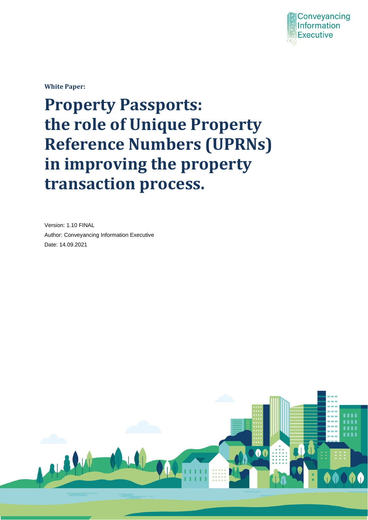

**White Paper:** 

# **Property Passports: the role of Unique Property Reference Numbers (UPRNs) in improving the property transaction process.**

Version: 1.10 FINAL Author: Conveyancing Information Executive Date: 14.09.2021

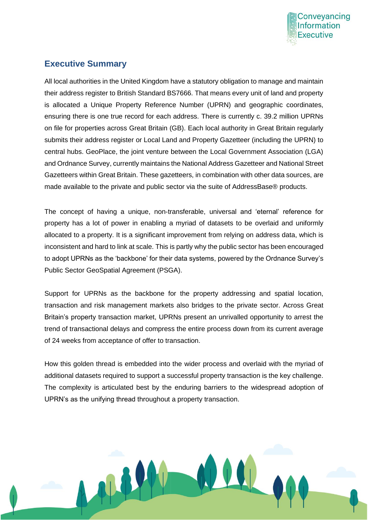

# **Executive Summary**

All local authorities in the United Kingdom have a statutory obligation to manage and maintain their address register to British Standard BS7666. That means every unit of land and property is allocated a Unique Property Reference Number (UPRN) and geographic coordinates, ensuring there is one true record for each address. There is currently c. 39.2 million UPRNs on file for properties across Great Britain (GB). Each local authority in Great Britain regularly submits their address register or Local Land and Property Gazetteer (including the UPRN) to central hubs. GeoPlace, the joint venture between the Local Government Association (LGA) and Ordnance Survey, currently maintains the National Address Gazetteer and National Street Gazetteers within Great Britain. These gazetteers, in combination with other data sources, are made available to the private and public sector via the suite of AddressBase® products.

The concept of having a unique, non-transferable, universal and 'eternal' reference for property has a lot of power in enabling a myriad of datasets to be overlaid and uniformly allocated to a property. It is a significant improvement from relying on address data, which is inconsistent and hard to link at scale. This is partly why the public sector has been encouraged to adopt UPRNs as the 'backbone' for their data systems, powered by the Ordnance Survey's Public Sector GeoSpatial Agreement (PSGA).

Support for UPRNs as the backbone for the property addressing and spatial location, transaction and risk management markets also bridges to the private sector. Across Great Britain's property transaction market, UPRNs present an unrivalled opportunity to arrest the trend of transactional delays and compress the entire process down from its current average of 24 weeks from acceptance of offer to transaction.

How this golden thread is embedded into the wider process and overlaid with the myriad of additional datasets required to support a successful property transaction is the key challenge. The complexity is articulated best by the enduring barriers to the widespread adoption of UPRN's as the unifying thread throughout a property transaction.

11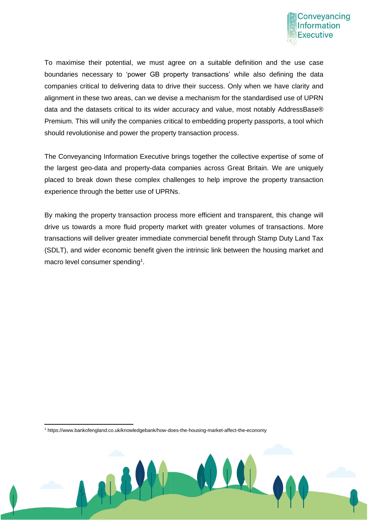

To maximise their potential, we must agree on a suitable definition and the use case boundaries necessary to 'power GB property transactions' while also defining the data companies critical to delivering data to drive their success. Only when we have clarity and alignment in these two areas, can we devise a mechanism for the standardised use of UPRN data and the datasets critical to its wider accuracy and value, most notably AddressBase® Premium. This will unify the companies critical to embedding property passports, a tool which should revolutionise and power the property transaction process.

The Conveyancing Information Executive brings together the collective expertise of some of the largest geo-data and property-data companies across Great Britain. We are uniquely placed to break down these complex challenges to help improve the property transaction experience through the better use of UPRNs.

By making the property transaction process more efficient and transparent, this change will drive us towards a more fluid property market with greater volumes of transactions. More transactions will deliver greater immediate commercial benefit through Stamp Duty Land Tax (SDLT), and wider economic benefit given the intrinsic link between the housing market and macro level consumer spending<sup>1</sup>.

<sup>1</sup> https://www.bankofengland.co.uk/knowledgebank/how-does-the-housing-market-affect-the-economy

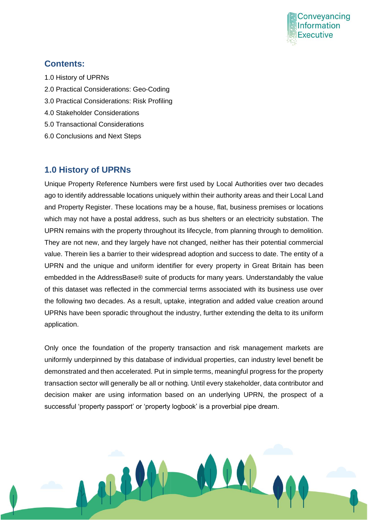

#### **Contents:**

- 1.0 History of UPRNs
- 2.0 Practical Considerations: Geo-Coding
- 3.0 Practical Considerations: Risk Profiling

M

- 4.0 Stakeholder Considerations
- 5.0 Transactional Considerations
- 6.0 Conclusions and Next Steps

#### **1.0 History of UPRNs**

Unique Property Reference Numbers were first used by Local Authorities over two decades ago to identify addressable locations uniquely within their authority areas and their Local Land and Property Register. These locations may be a house, flat, business premises or locations which may not have a postal address, such as bus shelters or an electricity substation. The UPRN remains with the property throughout its lifecycle, from planning through to demolition. They are not new, and they largely have not changed, neither has their potential commercial value. Therein lies a barrier to their widespread adoption and success to date. The entity of a UPRN and the unique and uniform identifier for every property in Great Britain has been embedded in the AddressBase® suite of products for many years. Understandably the value of this dataset was reflected in the commercial terms associated with its business use over the following two decades. As a result, uptake, integration and added value creation around UPRNs have been sporadic throughout the industry, further extending the delta to its uniform application.

Only once the foundation of the property transaction and risk management markets are uniformly underpinned by this database of individual properties, can industry level benefit be demonstrated and then accelerated. Put in simple terms, meaningful progress for the property transaction sector will generally be all or nothing. Until every stakeholder, data contributor and decision maker are using information based on an underlying UPRN, the prospect of a successful 'property passport' or 'property logbook' is a proverbial pipe dream.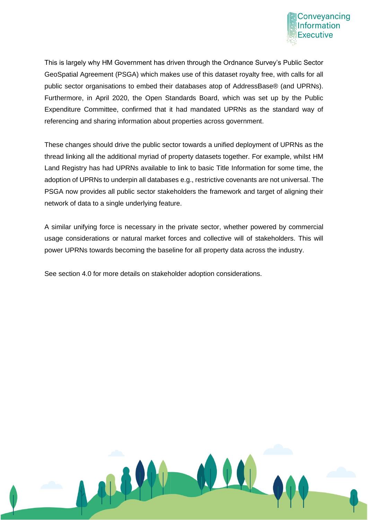

This is largely why HM Government has driven through the Ordnance Survey's Public Sector GeoSpatial Agreement (PSGA) which makes use of this dataset royalty free, with calls for all public sector organisations to embed their databases atop of AddressBase® (and UPRNs). Furthermore, in April 2020, the Open Standards Board, which was set up by the Public Expenditure Committee, confirmed that it had mandated UPRNs as the standard way of referencing and sharing information about properties across government.

These changes should drive the public sector towards a unified deployment of UPRNs as the thread linking all the additional myriad of property datasets together. For example, whilst HM Land Registry has had UPRNs available to link to basic Title Information for some time, the adoption of UPRNs to underpin all databases e.g., restrictive covenants are not universal. The PSGA now provides all public sector stakeholders the framework and target of aligning their network of data to a single underlying feature.

A similar unifying force is necessary in the private sector, whether powered by commercial usage considerations or natural market forces and collective will of stakeholders. This will power UPRNs towards becoming the baseline for all property data across the industry.

See section 4.0 for more details on stakeholder adoption considerations.

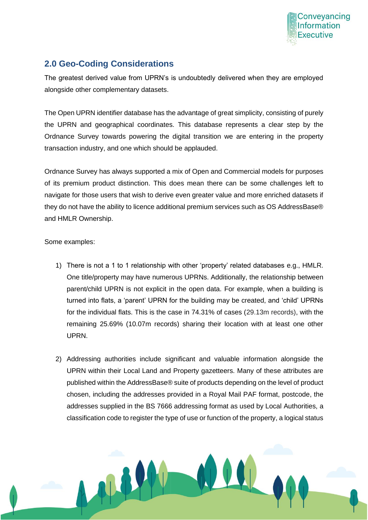

# **2.0 Geo-Coding Considerations**

The greatest derived value from UPRN's is undoubtedly delivered when they are employed alongside other complementary datasets.

The Open UPRN identifier database has the advantage of great simplicity, consisting of purely the UPRN and geographical coordinates. This database represents a clear step by the Ordnance Survey towards powering the digital transition we are entering in the property transaction industry, and one which should be applauded.

Ordnance Survey has always supported a mix of Open and Commercial models for purposes of its premium product distinction. This does mean there can be some challenges left to navigate for those users that wish to derive even greater value and more enriched datasets if they do not have the ability to licence additional premium services such as OS AddressBase® and HMLR Ownership.

Some examples:

- 1) There is not a 1 to 1 relationship with other 'property' related databases e.g., HMLR. One title/property may have numerous UPRNs. Additionally, the relationship between parent/child UPRN is not explicit in the open data. For example, when a building is turned into flats, a 'parent' UPRN for the building may be created, and 'child' UPRNs for the individual flats. This is the case in 74.31% of cases (29.13m records), with the remaining 25.69% (10.07m records) sharing their location with at least one other UPRN.
- 2) Addressing authorities include significant and valuable information alongside the UPRN within their Local Land and Property gazetteers. Many of these attributes are published within the AddressBase® suite of products depending on the level of product chosen, including the addresses provided in a Royal Mail PAF format, postcode, the addresses supplied in the BS 7666 addressing format as used by Local Authorities, a classification code to register the type of use or function of the property, a logical status

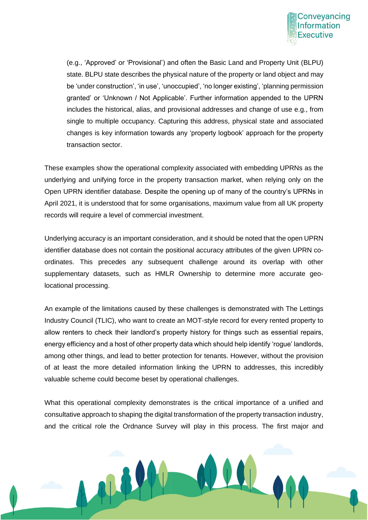

(e.g., 'Approved' or 'Provisional') and often the Basic Land and Property Unit (BLPU) state. BLPU state describes the physical nature of the property or land object and may be 'under construction', 'in use', 'unoccupied', 'no longer existing', 'planning permission granted' or 'Unknown / Not Applicable'. Further information appended to the UPRN includes the historical, alias, and provisional addresses and change of use e.g., from single to multiple occupancy. Capturing this address, physical state and associated changes is key information towards any 'property logbook' approach for the property transaction sector.

These examples show the operational complexity associated with embedding UPRNs as the underlying and unifying force in the property transaction market, when relying only on the Open UPRN identifier database. Despite the opening up of many of the country's UPRNs in April 2021, it is understood that for some organisations, maximum value from all UK property records will require a level of commercial investment.

Underlying accuracy is an important consideration, and it should be noted that the open UPRN identifier database does not contain the positional accuracy attributes of the given UPRN coordinates. This precedes any subsequent challenge around its overlap with other supplementary datasets, such as HMLR Ownership to determine more accurate geolocational processing.

An example of the limitations caused by these challenges is demonstrated with The Lettings Industry Council (TLIC), who want to create an MOT-style record for every rented property to allow renters to check their landlord's property history for things such as essential repairs, energy efficiency and a host of other property data which should help identify 'rogue' landlords, among other things, and lead to better protection for tenants. However, without the provision of at least the more detailed information linking the UPRN to addresses, this incredibly valuable scheme could become beset by operational challenges.

What this operational complexity demonstrates is the critical importance of a unified and consultative approach to shaping the digital transformation of the property transaction industry, and the critical role the Ordnance Survey will play in this process. The first major and

THE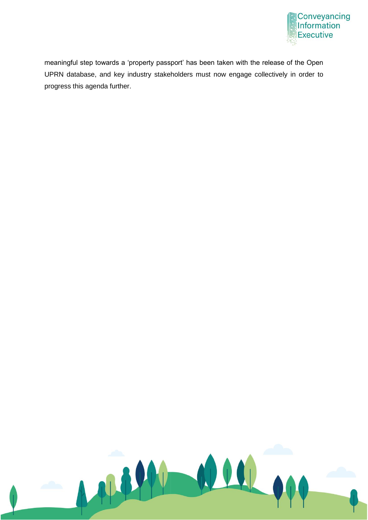

meaningful step towards a 'property passport' has been taken with the release of the Open UPRN database, and key industry stakeholders must now engage collectively in order to progress this agenda further.

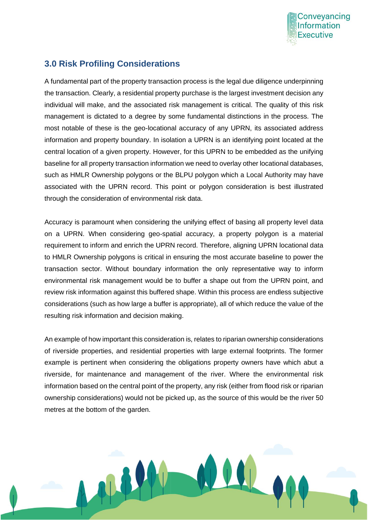

#### **3.0 Risk Profiling Considerations**

M

A fundamental part of the property transaction process is the legal due diligence underpinning the transaction. Clearly, a residential property purchase is the largest investment decision any individual will make, and the associated risk management is critical. The quality of this risk management is dictated to a degree by some fundamental distinctions in the process. The most notable of these is the geo-locational accuracy of any UPRN, its associated address information and property boundary. In isolation a UPRN is an identifying point located at the central location of a given property. However, for this UPRN to be embedded as the unifying baseline for all property transaction information we need to overlay other locational databases, such as HMLR Ownership polygons or the BLPU polygon which a Local Authority may have associated with the UPRN record. This point or polygon consideration is best illustrated through the consideration of environmental risk data.

Accuracy is paramount when considering the unifying effect of basing all property level data on a UPRN. When considering geo-spatial accuracy, a property polygon is a material requirement to inform and enrich the UPRN record. Therefore, aligning UPRN locational data to HMLR Ownership polygons is critical in ensuring the most accurate baseline to power the transaction sector. Without boundary information the only representative way to inform environmental risk management would be to buffer a shape out from the UPRN point, and review risk information against this buffered shape. Within this process are endless subjective considerations (such as how large a buffer is appropriate), all of which reduce the value of the resulting risk information and decision making.

An example of how important this consideration is, relates to riparian ownership considerations of riverside properties, and residential properties with large external footprints. The former example is pertinent when considering the obligations property owners have which abut a riverside, for maintenance and management of the river. Where the environmental risk information based on the central point of the property, any risk (either from flood risk or riparian ownership considerations) would not be picked up, as the source of this would be the river 50 metres at the bottom of the garden.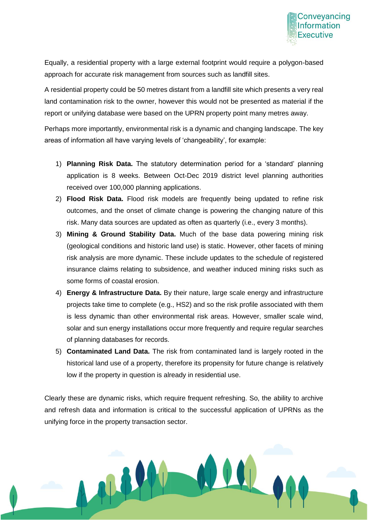

Equally, a residential property with a large external footprint would require a polygon-based approach for accurate risk management from sources such as landfill sites.

A residential property could be 50 metres distant from a landfill site which presents a very real land contamination risk to the owner, however this would not be presented as material if the report or unifying database were based on the UPRN property point many metres away.

Perhaps more importantly, environmental risk is a dynamic and changing landscape. The key areas of information all have varying levels of 'changeability', for example:

- 1) **Planning Risk Data.** The statutory determination period for a 'standard' planning application is 8 weeks. Between Oct-Dec 2019 district level planning authorities received over 100,000 planning applications.
- 2) **Flood Risk Data.** Flood risk models are frequently being updated to refine risk outcomes, and the onset of climate change is powering the changing nature of this risk. Many data sources are updated as often as quarterly (i.e., every 3 months).
- 3) **Mining & Ground Stability Data.** Much of the base data powering mining risk (geological conditions and historic land use) is static. However, other facets of mining risk analysis are more dynamic. These include updates to the schedule of registered insurance claims relating to subsidence, and weather induced mining risks such as some forms of coastal erosion.
- 4) **Energy & Infrastructure Data.** By their nature, large scale energy and infrastructure projects take time to complete (e.g., HS2) and so the risk profile associated with them is less dynamic than other environmental risk areas. However, smaller scale wind, solar and sun energy installations occur more frequently and require regular searches of planning databases for records.
- 5) **Contaminated Land Data.** The risk from contaminated land is largely rooted in the historical land use of a property, therefore its propensity for future change is relatively low if the property in question is already in residential use.

Clearly these are dynamic risks, which require frequent refreshing. So, the ability to archive and refresh data and information is critical to the successful application of UPRNs as the unifying force in the property transaction sector.

44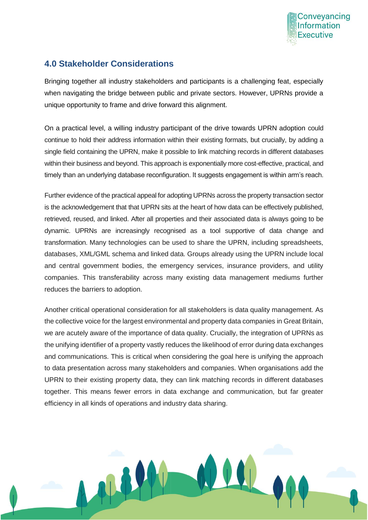

# **4.0 Stakeholder Considerations**

ALL

Bringing together all industry stakeholders and participants is a challenging feat, especially when navigating the bridge between public and private sectors. However, UPRNs provide a unique opportunity to frame and drive forward this alignment.

On a practical level, a willing industry participant of the drive towards UPRN adoption could continue to hold their address information within their existing formats, but crucially, by adding a single field containing the UPRN, make it possible to link matching records in different databases within their business and beyond. This approach is exponentially more cost-effective, practical, and timely than an underlying database reconfiguration. It suggests engagement is within arm's reach.

Further evidence of the practical appeal for adopting UPRNs across the property transaction sector is the acknowledgement that that UPRN sits at the heart of how data can be effectively published, retrieved, reused, and linked. After all properties and their associated data is always going to be dynamic. UPRNs are increasingly recognised as a tool supportive of data change and transformation. Many technologies can be used to share the UPRN, including spreadsheets, databases, XML/GML schema and linked data. Groups already using the UPRN include local and central government bodies, the emergency services, insurance providers, and utility companies. This transferability across many existing data management mediums further reduces the barriers to adoption.

Another critical operational consideration for all stakeholders is data quality management. As the collective voice for the largest environmental and property data companies in Great Britain, we are acutely aware of the importance of data quality. Crucially, the integration of UPRNs as the unifying identifier of a property vastly reduces the likelihood of error during data exchanges and communications. This is critical when considering the goal here is unifying the approach to data presentation across many stakeholders and companies. When organisations add the UPRN to their existing property data, they can link matching records in different databases together. This means fewer errors in data exchange and communication, but far greater efficiency in all kinds of operations and industry data sharing.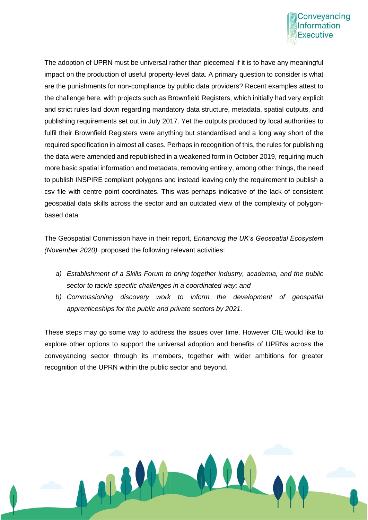

The adoption of UPRN must be universal rather than piecemeal if it is to have any meaningful impact on the production of useful property-level data. A primary question to consider is what are the punishments for non-compliance by public data providers? Recent examples attest to the challenge here, with projects such as Brownfield Registers, which initially had very explicit and strict rules laid down regarding mandatory data structure, metadata, spatial outputs, and publishing requirements set out in July 2017. Yet the outputs produced by local authorities to fulfil their Brownfield Registers were anything but standardised and a long way short of the required specification in almost all cases. Perhaps in recognition of this, the rules for publishing the data were amended and republished in a weakened form in October 2019, requiring much more basic spatial information and metadata, removing entirely, among other things, the need to publish INSPIRE compliant polygons and instead leaving only the requirement to publish a csv file with centre point coordinates. This was perhaps indicative of the lack of consistent geospatial data skills across the sector and an outdated view of the complexity of polygonbased data.

The Geospatial Commission have in their report, *Enhancing the UK's Geospatial Ecosystem (November 2020)* proposed the following relevant activities:

- *a) Establishment of a Skills Forum to bring together industry, academia, and the public sector to tackle specific challenges in a coordinated way; and*
- *b) Commissioning discovery work to inform the development of geospatial apprenticeships for the public and private sectors by 2021.*

These steps may go some way to address the issues over time. However CIE would like to explore other options to support the universal adoption and benefits of UPRNs across the conveyancing sector through its members, together with wider ambitions for greater recognition of the UPRN within the public sector and beyond.

ALL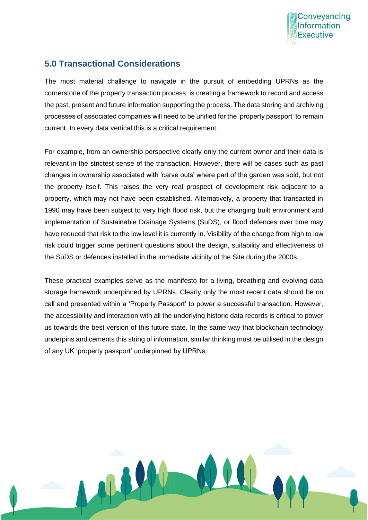

# **5.0 Transactional Considerations**

The most material challenge to navigate in the pursuit of embedding UPRNs as the cornerstone of the property transaction process, is creating a framework to record and access the past, present and future information supporting the process. The data storing and archiving processes of associated companies will need to be unified for the 'property passport' to remain current. In every data vertical this is a critical requirement.

For example, from an ownership perspective clearly only the current owner and their data is relevant in the strictest sense of the transaction. However, there will be cases such as past changes in ownership associated with 'carve outs' where part of the garden was sold, but not the property itself. This raises the very real prospect of development risk adjacent to a property, which may not have been established. Alternatively, a property that transacted in 1990 may have been subject to very high flood risk, but the changing built environment and implementation of Sustainable Drainage Systems (SuDS), or flood defences over time may have reduced that risk to the low level it is currently in. Visibility of the change from high to low risk could trigger some pertinent questions about the design, suitability and effectiveness of the SuDS or defences installed in the immediate vicinity of the Site during the 2000s.

These practical examples serve as the manifesto for a living, breathing and evolving data storage framework underpinned by UPRNs. Clearly only the most recent data should be on call and presented within a 'Property Passport' to power a successful transaction. However, the accessibility and interaction with all the underlying historic data records is critical to power us towards the best version of this future state. In the same way that blockchain technology underpins and cements this string of information, similar thinking must be utilised in the design of any UK 'property passport' underpinned by UPRNs.

ALL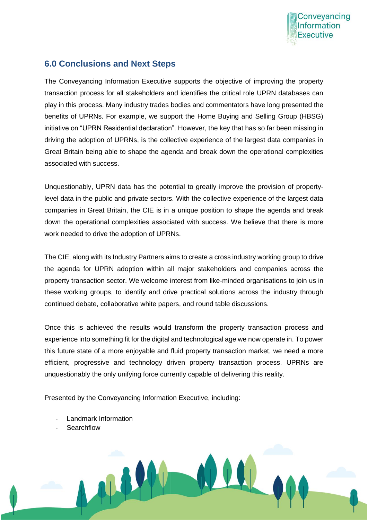

#### **6.0 Conclusions and Next Steps**

The Conveyancing Information Executive supports the objective of improving the property transaction process for all stakeholders and identifies the critical role UPRN databases can play in this process. Many industry trades bodies and commentators have long presented the benefits of UPRNs. For example, we support the Home Buying and Selling Group (HBSG) initiative on "UPRN Residential declaration". However, the key that has so far been missing in driving the adoption of UPRNs, is the collective experience of the largest data companies in Great Britain being able to shape the agenda and break down the operational complexities associated with success.

Unquestionably, UPRN data has the potential to greatly improve the provision of propertylevel data in the public and private sectors. With the collective experience of the largest data companies in Great Britain, the CIE is in a unique position to shape the agenda and break down the operational complexities associated with success. We believe that there is more work needed to drive the adoption of UPRNs.

The CIE, along with its Industry Partners aims to create a cross industry working group to drive the agenda for UPRN adoption within all major stakeholders and companies across the property transaction sector. We welcome interest from like-minded organisations to join us in these working groups, to identify and drive practical solutions across the industry through continued debate, collaborative white papers, and round table discussions.

Once this is achieved the results would transform the property transaction process and experience into something fit for the digital and technological age we now operate in. To power this future state of a more enjoyable and fluid property transaction market, we need a more efficient, progressive and technology driven property transaction process. UPRNs are unquestionably the only unifying force currently capable of delivering this reality.

Presented by the Conveyancing Information Executive, including:

- Landmark Information
- **Searchflow**